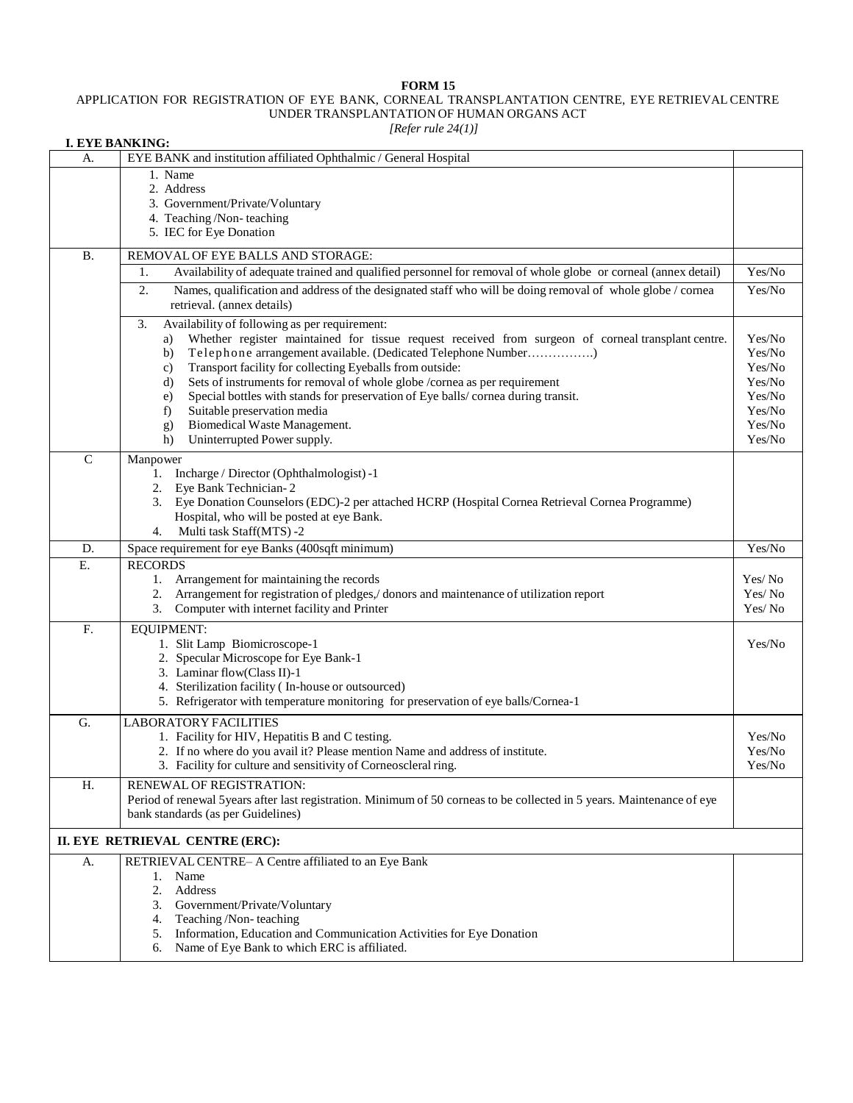## **FORM 15**

## APPLICATION FOR REGISTRATION OF EYE BANK, CORNEAL TRANSPLANTATION CENTRE, EYE RETRIEVAL CENTRE UNDER TRANSPLANTATION OF HUMAN ORGANS ACT

*[Refer rule 24(1)]*

| <b>I. EYE BANKING:</b>          |                                                                                                                                                                                                                                                                                                                                                                                                                                                                                                                                                                                                       |                                                                              |  |
|---------------------------------|-------------------------------------------------------------------------------------------------------------------------------------------------------------------------------------------------------------------------------------------------------------------------------------------------------------------------------------------------------------------------------------------------------------------------------------------------------------------------------------------------------------------------------------------------------------------------------------------------------|------------------------------------------------------------------------------|--|
| А.                              | EYE BANK and institution affiliated Ophthalmic / General Hospital                                                                                                                                                                                                                                                                                                                                                                                                                                                                                                                                     |                                                                              |  |
|                                 | 1. Name<br>2. Address<br>3. Government/Private/Voluntary<br>4. Teaching /Non-teaching<br>5. IEC for Eye Donation                                                                                                                                                                                                                                                                                                                                                                                                                                                                                      |                                                                              |  |
| <b>B.</b>                       | REMOVAL OF EYE BALLS AND STORAGE:                                                                                                                                                                                                                                                                                                                                                                                                                                                                                                                                                                     |                                                                              |  |
|                                 | Availability of adequate trained and qualified personnel for removal of whole globe or corneal (annex detail)<br>1.                                                                                                                                                                                                                                                                                                                                                                                                                                                                                   | Yes/No                                                                       |  |
|                                 | Names, qualification and address of the designated staff who will be doing removal of whole globe / cornea<br>2.<br>retrieval. (annex details)                                                                                                                                                                                                                                                                                                                                                                                                                                                        | Yes/No                                                                       |  |
|                                 | Availability of following as per requirement:<br>3.<br>Whether register maintained for tissue request received from surgeon of corneal transplant centre.<br>a)<br>Telephone arrangement available. (Dedicated Telephone Number)<br>b)<br>Transport facility for collecting Eyeballs from outside:<br>c)<br>Sets of instruments for removal of whole globe /cornea as per requirement<br>d)<br>Special bottles with stands for preservation of Eye balls/cornea during transit.<br>e)<br>Suitable preservation media<br>f)<br>Biomedical Waste Management.<br>g)<br>Uninterrupted Power supply.<br>h) | Yes/No<br>Yes/No<br>Yes/No<br>Yes/No<br>Yes/No<br>Yes/No<br>Yes/No<br>Yes/No |  |
| $\overline{C}$                  | Manpower<br>1. Incharge / Director (Ophthalmologist) -1<br>Eye Bank Technician-2<br>2.<br>3. Eye Donation Counselors (EDC)-2 per attached HCRP (Hospital Cornea Retrieval Cornea Programme)<br>Hospital, who will be posted at eye Bank.<br>Multi task Staff(MTS) -2<br>4.                                                                                                                                                                                                                                                                                                                            |                                                                              |  |
| D.                              | Space requirement for eye Banks (400sqft minimum)                                                                                                                                                                                                                                                                                                                                                                                                                                                                                                                                                     | Yes/No                                                                       |  |
| E.                              | <b>RECORDS</b><br>1. Arrangement for maintaining the records<br>Arrangement for registration of pledges,/ donors and maintenance of utilization report<br>2.<br>3. Computer with internet facility and Printer                                                                                                                                                                                                                                                                                                                                                                                        | Yes/No<br>Yes/No<br>Yes/No                                                   |  |
| F.                              | <b>EQUIPMENT:</b><br>1. Slit Lamp Biomicroscope-1<br>2. Specular Microscope for Eye Bank-1<br>3. Laminar flow(Class II)-1<br>4. Sterilization facility (In-house or outsourced)<br>5. Refrigerator with temperature monitoring for preservation of eye balls/Cornea-1                                                                                                                                                                                                                                                                                                                                 | Yes/No                                                                       |  |
| G.                              | <b>LABORATORY FACILITIES</b><br>1. Facility for HIV, Hepatitis B and C testing.<br>2. If no where do you avail it? Please mention Name and address of institute.<br>3. Facility for culture and sensitivity of Corneoscleral ring.                                                                                                                                                                                                                                                                                                                                                                    | Yes/No<br>Yes/No<br>Yes/No                                                   |  |
| H.                              | RENEWAL OF REGISTRATION:<br>Period of renewal 5 years after last registration. Minimum of 50 corneas to be collected in 5 years. Maintenance of eye<br>bank standards (as per Guidelines)                                                                                                                                                                                                                                                                                                                                                                                                             |                                                                              |  |
| II. EYE RETRIEVAL CENTRE (ERC): |                                                                                                                                                                                                                                                                                                                                                                                                                                                                                                                                                                                                       |                                                                              |  |
| A.                              | RETRIEVAL CENTRE- A Centre affiliated to an Eye Bank<br>Name<br>1.<br>2.<br>Address<br>Government/Private/Voluntary<br>3.<br>Teaching /Non-teaching<br>4.<br>Information, Education and Communication Activities for Eye Donation<br>5.<br>Name of Eye Bank to which ERC is affiliated.<br>6.                                                                                                                                                                                                                                                                                                         |                                                                              |  |